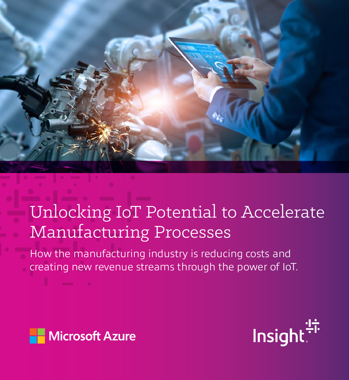

# Unlocking IoT Potential to Accelerate Manufacturing Processes

How the manufacturing industry is reducing costs and creating new revenue streams through the power of IoT.



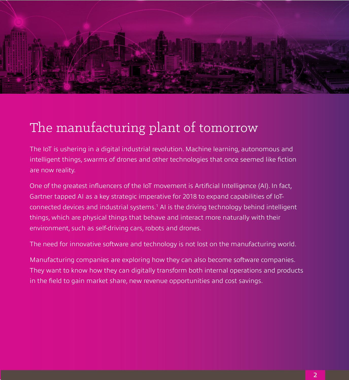

#### The manufacturing plant of tomorrow

The IoT is ushering in a digital industrial revolution. Machine learning, autonomous and intelligent things, swarms of drones and other technologies that once seemed like fiction are now reality.

One of the greatest influencers of the IoT movement is Artificial Intelligence (AI). In fact, Gartner tapped AI as a key strategic imperative for 2018 to expand capabilities of IoTconnected devices and industrial systems.<sup>1</sup> AI is the driving technology behind intelligent things, which are physical things that behave and interact more naturally with their environment, such as self-driving cars, robots and drones.

The need for innovative software and technology is not lost on the manufacturing world.

Manufacturing companies are exploring how they can also become software companies. They want to know how they can digitally transform both internal operations and products in the field to gain market share, new revenue opportunities and cost savings.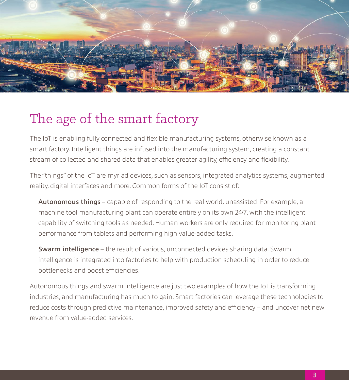

#### The age of the smart factory

The IoT is enabling fully connected and flexible manufacturing systems, otherwise known as a smart factory. Intelligent things are infused into the manufacturing system, creating a constant stream of collected and shared data that enables greater agility, efficiency and flexibility.

The "things" of the IoT are myriad devices, such as sensors, integrated analytics systems, augmented reality, digital interfaces and more. Common forms of the IoT consist of:

Autonomous things – capable of responding to the real world, unassisted. For example, a machine tool manufacturing plant can operate entirely on its own 24/7, with the intelligent capability of switching tools as needed. Human workers are only required for monitoring plant performance from tablets and performing high value-added tasks.

Swarm intelligence – the result of various, unconnected devices sharing data. Swarm intelligence is integrated into factories to help with production scheduling in order to reduce bottlenecks and boost efficiencies.

Autonomous things and swarm intelligence are just two examples of how the IoT is transforming industries, and manufacturing has much to gain. Smart factories can leverage these technologies to reduce costs through predictive maintenance, improved safety and efficiency – and uncover net new revenue from value-added services.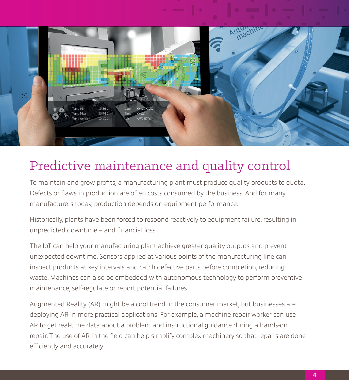

### Predictive maintenance and quality control

To maintain and grow profits, a manufacturing plant must produce quality products to quota. Defects or flaws in production are often costs consumed by the business. And for many manufacturers today, production depends on equipment performance.

Historically, plants have been forced to respond reactively to equipment failure, resulting in unpredicted downtime – and financial loss.

The IoT can help your manufacturing plant achieve greater quality outputs and prevent unexpected downtime. Sensors applied at various points of the manufacturing line can inspect products at key intervals and catch defective parts before completion, reducing waste. Machines can also be embedded with autonomous technology to perform preventive maintenance, self-regulate or report potential failures.

Augmented Reality (AR) might be a cool trend in the consumer market, but businesses are deploying AR in more practical applications. For example, a machine repair worker can use AR to get real-time data about a problem and instructional guidance during a hands-on repair. The use of AR in the field can help simplify complex machinery so that repairs are done efficiently and accurately.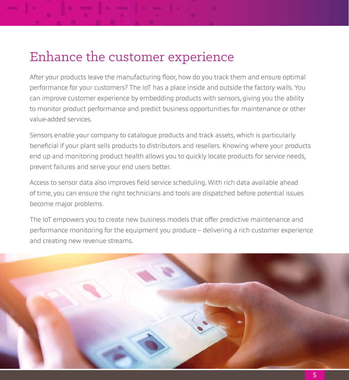#### Enhance the customer experience

After your products leave the manufacturing floor, how do you track them and ensure optimal performance for your customers? The IoT has a place inside and outside the factory walls. You can improve customer experience by embedding products with sensors, giving you the ability to monitor product performance and predict business opportunities for maintenance or other value-added services.

Sensors enable your company to catalogue products and track assets, which is particularly beneficial if your plant sells products to distributors and resellers. Knowing where your products end up and monitoring product health allows you to quickly locate products for service needs, prevent failures and serve your end users better.

Access to sensor data also improves field service scheduling. With rich data available ahead of time, you can ensure the right technicians and tools are dispatched before potential issues become major problems.

The IoT empowers you to create new business models that offer predictive maintenance and performance monitoring for the equipment you produce – delivering a rich customer experience and creating new revenue streams.

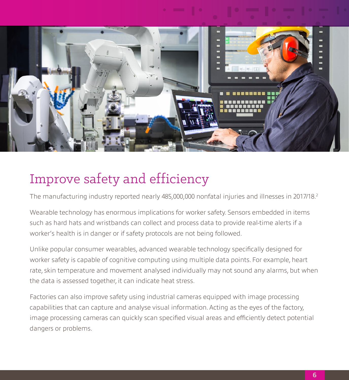

#### Improve safety and efficiency

The manufacturing industry reported nearly 485,000,000 nonfatal injuries and illnesses in 2017/18.2

Wearable technology has enormous implications for worker safety. Sensors embedded in items such as hard hats and wristbands can collect and process data to provide real-time alerts if a worker's health is in danger or if safety protocols are not being followed.

Unlike popular consumer wearables, advanced wearable technology specifically designed for worker safety is capable of cognitive computing using multiple data points. For example, heart rate, skin temperature and movement analysed individually may not sound any alarms, but when the data is assessed together, it can indicate heat stress.

Factories can also improve safety using industrial cameras equipped with image processing capabilities that can capture and analyse visual information. Acting as the eyes of the factory, image processing cameras can quickly scan specified visual areas and efficiently detect potential dangers or problems.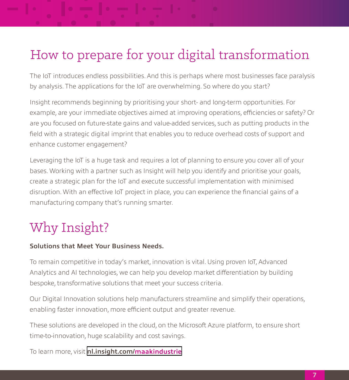# How to prepare for your digital transformation

The IoT introduces endless possibilities. And this is perhaps where most businesses face paralysis by analysis. The applications for the IoT are overwhelming. So where do you start?

Insight recommends beginning by prioritising your short- and long-term opportunities. For example, are your immediate objectives aimed at improving operations, efficiencies or safety? Or are you focused on future-state gains and value-added services, such as putting products in the field with a strategic digital imprint that enables you to reduce overhead costs of support and enhance customer engagement?

Leveraging the IoT is a huge task and requires a lot of planning to ensure you cover all of your bases. Working with a partner such as Insight will help you identify and prioritise your goals, create a strategic plan for the IoT and execute successful implementation with minimised disruption. With an effective IoT project in place, you can experience the financial gains of a manufacturing company that's running smarter.

## Why Insight?

#### **Solutions that Meet Your Business Needs.**

To remain competitive in today's market, innovation is vital. Using proven IoT, Advanced Analytics and AI technologies, we can help you develop market differentiation by building bespoke, transformative solutions that meet your success criteria.

Our Digital Innovation solutions help manufacturers streamline and simplify their operations, enabling faster innovation, more efficient output and greater revenue.

These solutions are developed in the cloud, on the Microsoft Azure platform, to ensure short time-to-innovation, huge scalability and cost savings.

To learn more, visit **nl[.insight.com/ma](https://nl.insight.com/what-we-do/digital-innovation/manufacturing)akindustrie**